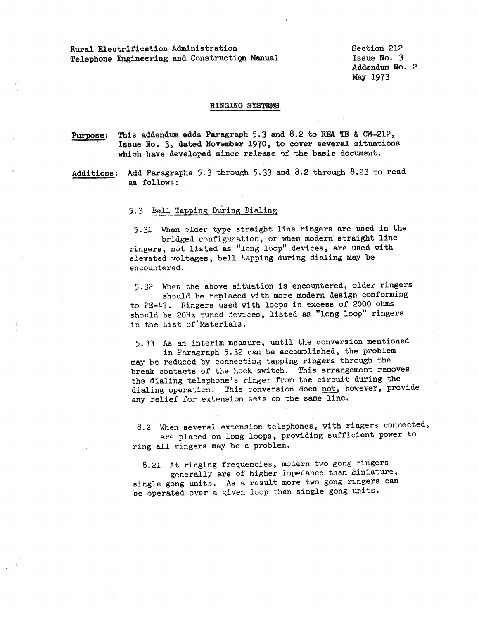Rural Electrification Administration Telephone Engineering and Construction Manual Section 212 Issue No. 3 Addendum No. 2· May 1973

## RINGING SYSTEMS

Purpose: This addendum adds Paragraph 5.3 and 8.2 to REA TE & CM-212, Issue No. 3, dated November 1970, to cover several situations which have developed since release of the basic document.

Additions: Add Paragraphs 5.3 through 5.33 and 8.2 through 8.23 to read as follows:

5.3 Bell Tapping During Dialing

5.31 When older type straight line ringers are used in the bridged configuration, or when modern straight line ringers, not listed as "long loop" devices, are used with elevated voltages, bell tapping during dialing may be encountered.

5,32 When the above situation is encountered, older ringers should be replaced with more modern design conforming to PE-47. Ringers used with loops in excess of 2000 ohms should be 20Hz tuned devices, listed as "long loop" ringers in the List of Materials.

5.33 As an interim measure, until the conversion mentioned

in Paragraph 5.32 can be accomplished, the problem may be reduced by connecting tapping ringers through the break contacts of the hook switch. This arrangement removes the dialing telephone's ringer from the circuit during the dialing operation. This conversion does not, however, provide any relief for extension sets on the same line.

8.2 When several extension telephones, with ringers connected, are placed on long loops, providing sufficient power to ring all ringers mey be a problem.

8.21 At ringing frequencies, modern two gong ringers generally are of higher impedance than miniature, single gong units. As a result more two gong ringers can be operated over a given loop than single gong units.